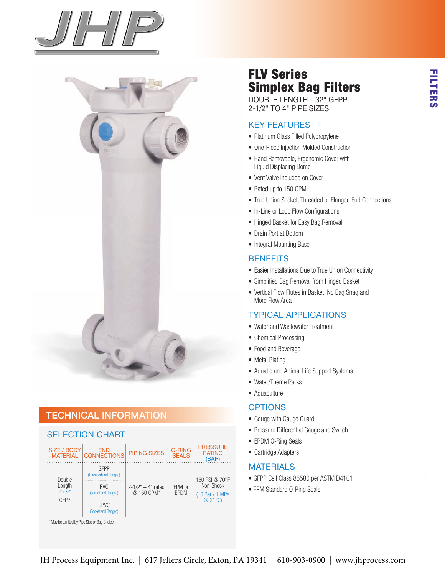



## technical information



## FLV Series Simplex Bag Filters

DoubLe Length – 32" gFPP 2-1/2" TO 4" PIPE SIZES

#### Key Features

- Platinum Glass Filled Polypropylene
- One-Piece Injection Molded Construction
- Hand Removable, Ergonomic Cover with Liquid Displacing Dome
- Vent Valve Included on Cover
- Rated up to 150 GPM
- True Union Socket, Threaded or Flanged End Connections
- In-Line or Loop Flow Configurations
- Hinged Basket for Easy Bag Removal
- Drain Port at Bottom
- Integral Mounting Base

#### **BENEFITS**

- Easier Installations Due to True Union Connectivity
- Simplified Bag Removal from Hinged Basket
- Vertical Flow Flutes in Basket, No Bag Snag and More Flow Area

#### tyPicaL aPPLications

- Water and Wastewater Treatment
- Chemical Processing
- Food and Beverage
- Metal Plating
- Aquatic and Animal Life Support Systems
- Water/Theme Parks
- Aquaculture

#### **OPTIONS**

- Gauge with Gauge Guard
- Pressure Differential Gauge and Switch
- EPDM O-Ring Seals
- Cartridge Adapters

#### **MATERIALS**

- GFPP Cell Class 85580 per ASTM D4101
- FPM Standard O-Ring Seals

FILTERS

**FILTERS**